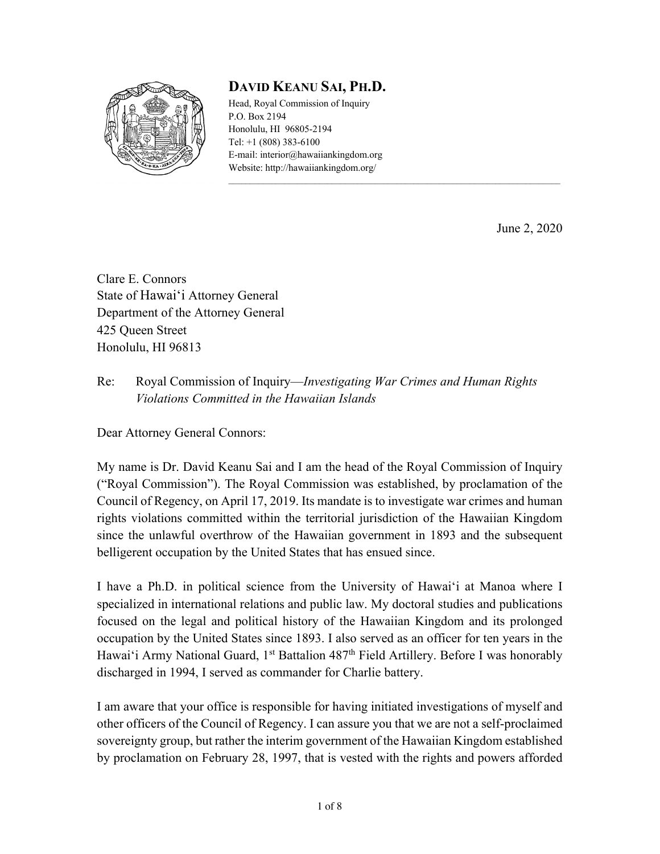

## **DAVID KEANU SAI, PH.D.**

Head, Royal Commission of Inquiry P.O. Box 2194 Honolulu, HI 96805-2194 Tel: +1 (808) 383-6100 E-mail: interior@hawaiiankingdom.org Website: http://hawaiiankingdom.org/

June 2, 2020

Clare E. Connors State of Hawai'i Attorney General Department of the Attorney General 425 Queen Street Honolulu, HI 96813

## Re: Royal Commission of Inquiry—*Investigating War Crimes and Human Rights Violations Committed in the Hawaiian Islands*

Dear Attorney General Connors:

My name is Dr. David Keanu Sai and I am the head of the Royal Commission of Inquiry ("Royal Commission"). The Royal Commission was established, by proclamation of the Council of Regency, on April 17, 2019. Its mandate is to investigate war crimes and human rights violations committed within the territorial jurisdiction of the Hawaiian Kingdom since the unlawful overthrow of the Hawaiian government in 1893 and the subsequent belligerent occupation by the United States that has ensued since.

I have a Ph.D. in political science from the University of Hawai'i at Manoa where I specialized in international relations and public law. My doctoral studies and publications focused on the legal and political history of the Hawaiian Kingdom and its prolonged occupation by the United States since 1893. I also served as an officer for ten years in the Hawai'i Army National Guard, 1<sup>st</sup> Battalion 487<sup>th</sup> Field Artillery. Before I was honorably discharged in 1994, I served as commander for Charlie battery.

I am aware that your office is responsible for having initiated investigations of myself and other officers of the Council of Regency. I can assure you that we are not a self-proclaimed sovereignty group, but rather the interim government of the Hawaiian Kingdom established by proclamation on February 28, 1997, that is vested with the rights and powers afforded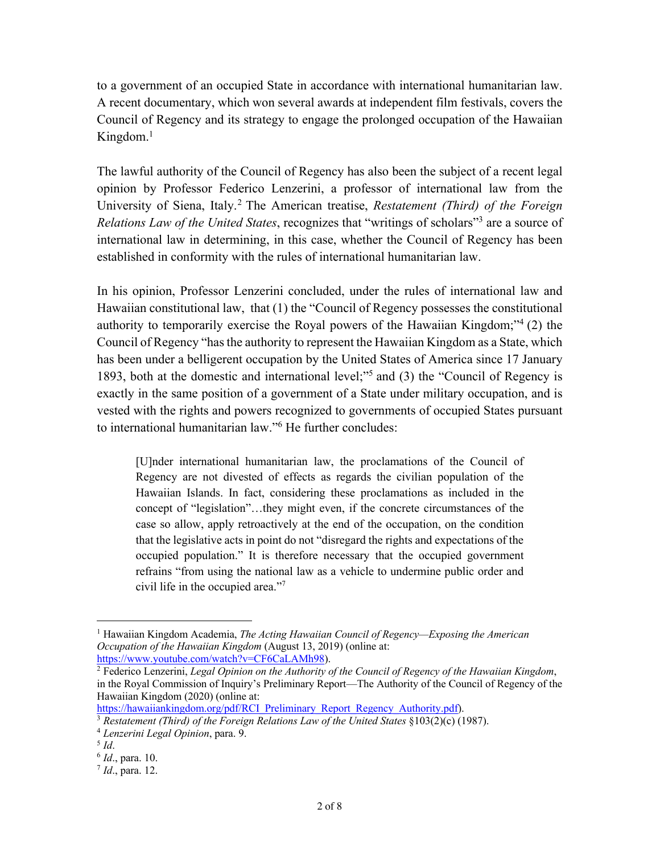to a government of an occupied State in accordance with international humanitarian law. A recent documentary, which won several awards at independent film festivals, covers the Council of Regency and its strategy to engage the prolonged occupation of the Hawaiian Kingdom.1

The lawful authority of the Council of Regency has also been the subject of a recent legal opinion by Professor Federico Lenzerini, a professor of international law from the University of Siena, Italy.2 The American treatise, *Restatement (Third) of the Foreign Relations Law of the United States*, recognizes that "writings of scholars"3 are a source of international law in determining, in this case, whether the Council of Regency has been established in conformity with the rules of international humanitarian law.

In his opinion, Professor Lenzerini concluded, under the rules of international law and Hawaiian constitutional law, that (1) the "Council of Regency possesses the constitutional authority to temporarily exercise the Royal powers of the Hawaiian Kingdom;"4 (2) the Council of Regency "has the authority to represent the Hawaiian Kingdom as a State, which has been under a belligerent occupation by the United States of America since 17 January 1893, both at the domestic and international level;"5 and (3) the "Council of Regency is exactly in the same position of a government of a State under military occupation, and is vested with the rights and powers recognized to governments of occupied States pursuant to international humanitarian law."6 He further concludes:

[U]nder international humanitarian law, the proclamations of the Council of Regency are not divested of effects as regards the civilian population of the Hawaiian Islands. In fact, considering these proclamations as included in the concept of "legislation"…they might even, if the concrete circumstances of the case so allow, apply retroactively at the end of the occupation, on the condition that the legislative acts in point do not "disregard the rights and expectations of the occupied population." It is therefore necessary that the occupied government refrains "from using the national law as a vehicle to undermine public order and civil life in the occupied area."<sup>7</sup>

<sup>1</sup> Hawaiian Kingdom Academia, *The Acting Hawaiian Council of Regency—Exposing the American Occupation of the Hawaiian Kingdom* (August 13, 2019) (online at: https://www.youtube.com/watch?v=CF6CaLAMh98).

<sup>2</sup> Federico Lenzerini, *Legal Opinion on the Authority of the Council of Regency of the Hawaiian Kingdom*, in the Royal Commission of Inquiry's Preliminary Report—The Authority of the Council of Regency of the Hawaiian Kingdom (2020) (online at:

https://hawaiiankingdom.org/pdf/RCI\_Preliminary\_Report\_Regency\_Authority.pdf).

<sup>3</sup> *Restatement (Third) of the Foreign Relations Law of the United States* §103(2)(c) (1987).

<sup>4</sup> *Lenzerini Legal Opinion*, para. 9.

 $5$  *Id.* 

<sup>6</sup> *Id*., para. 10.

<sup>7</sup> *Id*., para. 12.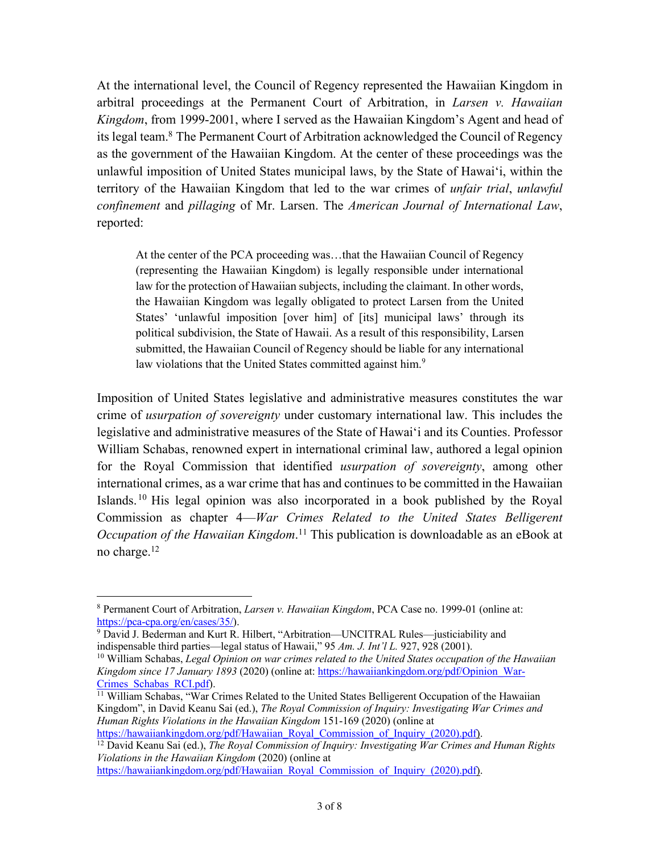At the international level, the Council of Regency represented the Hawaiian Kingdom in arbitral proceedings at the Permanent Court of Arbitration, in *Larsen v. Hawaiian Kingdom*, from 1999-2001, where I served as the Hawaiian Kingdom's Agent and head of its legal team.8 The Permanent Court of Arbitration acknowledged the Council of Regency as the government of the Hawaiian Kingdom. At the center of these proceedings was the unlawful imposition of United States municipal laws, by the State of Hawai'i, within the territory of the Hawaiian Kingdom that led to the war crimes of *unfair trial*, *unlawful confinement* and *pillaging* of Mr. Larsen. The *American Journal of International Law*, reported:

At the center of the PCA proceeding was…that the Hawaiian Council of Regency (representing the Hawaiian Kingdom) is legally responsible under international law for the protection of Hawaiian subjects, including the claimant. In other words, the Hawaiian Kingdom was legally obligated to protect Larsen from the United States' 'unlawful imposition [over him] of [its] municipal laws' through its political subdivision, the State of Hawaii. As a result of this responsibility, Larsen submitted, the Hawaiian Council of Regency should be liable for any international law violations that the United States committed against him.<sup>9</sup>

Imposition of United States legislative and administrative measures constitutes the war crime of *usurpation of sovereignty* under customary international law. This includes the legislative and administrative measures of the State of Hawai'i and its Counties. Professor William Schabas, renowned expert in international criminal law, authored a legal opinion for the Royal Commission that identified *usurpation of sovereignty*, among other international crimes, as a war crime that has and continues to be committed in the Hawaiian Islands. <sup>10</sup> His legal opinion was also incorporated in a book published by the Royal Commission as chapter 4—*War Crimes Related to the United States Belligerent Occupation of the Hawaiian Kingdom*. <sup>11</sup> This publication is downloadable as an eBook at no charge.<sup>12</sup>

<sup>12</sup> David Keanu Sai (ed.), *The Royal Commission of Inquiry: Investigating War Crimes and Human Rights Violations in the Hawaiian Kingdom* (2020) (online at

https://hawaiiankingdom.org/pdf/Hawaiian\_Royal\_Commission\_of\_Inquiry\_(2020).pdf).

<sup>8</sup> Permanent Court of Arbitration, *Larsen v. Hawaiian Kingdom*, PCA Case no. 1999-01 (online at: https://pca-cpa.org/en/cases/35/).

<sup>&</sup>lt;sup>9</sup> David J. Bederman and Kurt R. Hilbert, "Arbitration—UNCITRAL Rules—justiciability and indispensable third parties—legal status of Hawaii,"  $95 \, Am$ . J. Int'l L. 927, 928 (2001).

<sup>&</sup>lt;sup>10</sup> William Schabas, *Legal Opinion on war crimes related to the United States occupation of the Hawaiian Kingdom since 17 January 1893* (2020) (online at: https://hawaiiankingdom.org/pdf/Opinion\_War-Crimes Schabas RCI.pdf).

<sup>&</sup>lt;sup>11</sup> William Schabas, "War Crimes Related to the United States Belligerent Occupation of the Hawaiian Kingdom", in David Keanu Sai (ed.), *The Royal Commission of Inquiry: Investigating War Crimes and Human Rights Violations in the Hawaiian Kingdom* 151-169 (2020) (online at https://hawaiiankingdom.org/pdf/Hawaiian\_Royal\_Commission\_of\_Inquiry\_(2020).pdf).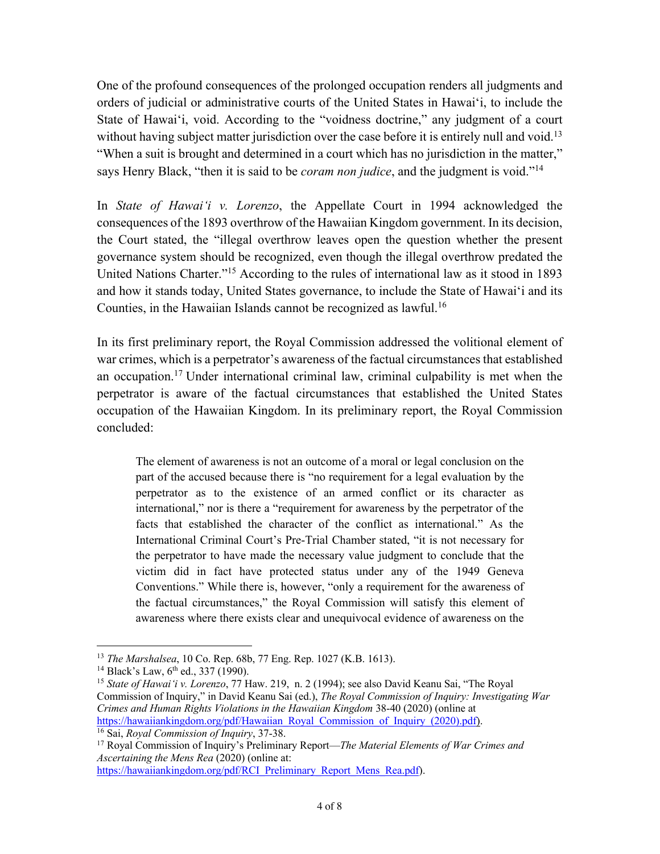One of the profound consequences of the prolonged occupation renders all judgments and orders of judicial or administrative courts of the United States in Hawai'i, to include the State of Hawai'i, void. According to the "voidness doctrine," any judgment of a court without having subject matter jurisdiction over the case before it is entirely null and void.<sup>13</sup> "When a suit is brought and determined in a court which has no jurisdiction in the matter," says Henry Black, "then it is said to be *coram non judice*, and the judgment is void."14

In *State of Hawai'i v. Lorenzo*, the Appellate Court in 1994 acknowledged the consequences of the 1893 overthrow of the Hawaiian Kingdom government. In its decision, the Court stated, the "illegal overthrow leaves open the question whether the present governance system should be recognized, even though the illegal overthrow predated the United Nations Charter."15 According to the rules of international law as it stood in 1893 and how it stands today, United States governance, to include the State of Hawai'i and its Counties, in the Hawaiian Islands cannot be recognized as lawful.<sup>16</sup>

In its first preliminary report, the Royal Commission addressed the volitional element of war crimes, which is a perpetrator's awareness of the factual circumstances that established an occupation. <sup>17</sup> Under international criminal law, criminal culpability is met when the perpetrator is aware of the factual circumstances that established the United States occupation of the Hawaiian Kingdom. In its preliminary report, the Royal Commission concluded:

The element of awareness is not an outcome of a moral or legal conclusion on the part of the accused because there is "no requirement for a legal evaluation by the perpetrator as to the existence of an armed conflict or its character as international," nor is there a "requirement for awareness by the perpetrator of the facts that established the character of the conflict as international." As the International Criminal Court's Pre-Trial Chamber stated, "it is not necessary for the perpetrator to have made the necessary value judgment to conclude that the victim did in fact have protected status under any of the 1949 Geneva Conventions." While there is, however, "only a requirement for the awareness of the factual circumstances," the Royal Commission will satisfy this element of awareness where there exists clear and unequivocal evidence of awareness on the

https://hawaiiankingdom.org/pdf/RCI\_Preliminary\_Report\_Mens\_Rea.pdf).

<sup>13</sup> *The Marshalsea*, 10 Co. Rep. 68b, 77 Eng. Rep. 1027 (K.B. 1613).

<sup>&</sup>lt;sup>14</sup> Black's Law,  $6<sup>th</sup>$  ed., 337 (1990).

<sup>15</sup> *State of Hawai'i v. Lorenzo*, 77 Haw. 219, n. 2 (1994); see also David Keanu Sai, "The Royal Commission of Inquiry," in David Keanu Sai (ed.), *The Royal Commission of Inquiry: Investigating War Crimes and Human Rights Violations in the Hawaiian Kingdom* 38-40 (2020) (online at https://hawaiiankingdom.org/pdf/Hawaiian\_Royal\_Commission\_of\_Inquiry\_(2020).pdf). <sup>16</sup> Sai, *Royal Commission of Inquiry*, 37-38.

<sup>17</sup> Royal Commission of Inquiry's Preliminary Report—*The Material Elements of War Crimes and* 

*Ascertaining the Mens Rea* (2020) (online at: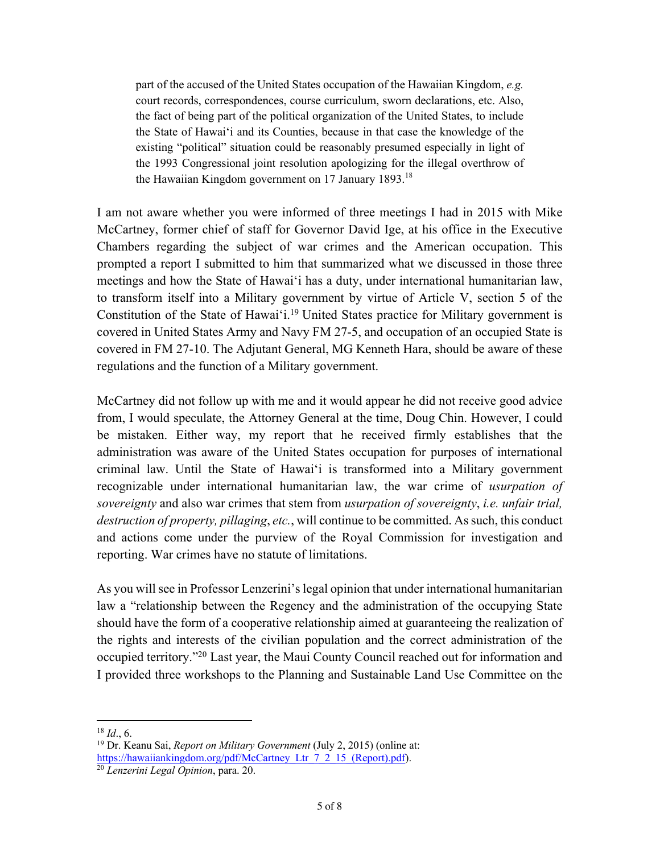part of the accused of the United States occupation of the Hawaiian Kingdom, *e.g.* court records, correspondences, course curriculum, sworn declarations, etc. Also, the fact of being part of the political organization of the United States, to include the State of Hawai'i and its Counties, because in that case the knowledge of the existing "political" situation could be reasonably presumed especially in light of the 1993 Congressional joint resolution apologizing for the illegal overthrow of the Hawaiian Kingdom government on 17 January  $1893$ .<sup>18</sup>

I am not aware whether you were informed of three meetings I had in 2015 with Mike McCartney, former chief of staff for Governor David Ige, at his office in the Executive Chambers regarding the subject of war crimes and the American occupation. This prompted a report I submitted to him that summarized what we discussed in those three meetings and how the State of Hawai'i has a duty, under international humanitarian law, to transform itself into a Military government by virtue of Article V, section 5 of the Constitution of the State of Hawai'i.<sup>19</sup> United States practice for Military government is covered in United States Army and Navy FM 27-5, and occupation of an occupied State is covered in FM 27-10. The Adjutant General, MG Kenneth Hara, should be aware of these regulations and the function of a Military government.

McCartney did not follow up with me and it would appear he did not receive good advice from, I would speculate, the Attorney General at the time, Doug Chin. However, I could be mistaken. Either way, my report that he received firmly establishes that the administration was aware of the United States occupation for purposes of international criminal law. Until the State of Hawai'i is transformed into a Military government recognizable under international humanitarian law, the war crime of *usurpation of sovereignty* and also war crimes that stem from *usurpation of sovereignty*, *i.e. unfair trial, destruction of property, pillaging*, *etc.*, will continue to be committed. As such, this conduct and actions come under the purview of the Royal Commission for investigation and reporting. War crimes have no statute of limitations.

As you will see in Professor Lenzerini's legal opinion that under international humanitarian law a "relationship between the Regency and the administration of the occupying State should have the form of a cooperative relationship aimed at guaranteeing the realization of the rights and interests of the civilian population and the correct administration of the occupied territory."20 Last year, the Maui County Council reached out for information and I provided three workshops to the Planning and Sustainable Land Use Committee on the

<sup>18</sup> *Id*., 6.

<sup>19</sup> Dr. Keanu Sai, *Report on Military Government* (July 2, 2015) (online at: https://hawaiiankingdom.org/pdf/McCartney\_Ltr\_7\_2\_15\_(Report).pdf).

<sup>20</sup> *Lenzerini Legal Opinion*, para. 20.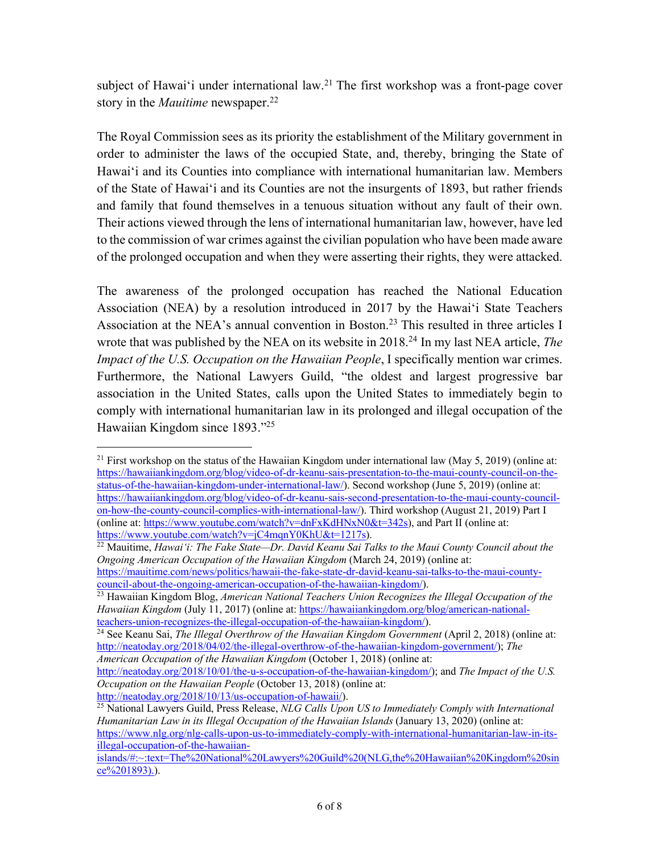subject of Hawai'i under international law.<sup>21</sup> The first workshop was a front-page cover story in the *Mauitime* newspaper.<sup>22</sup>

The Royal Commission sees as its priority the establishment of the Military government in order to administer the laws of the occupied State, and, thereby, bringing the State of Hawai'i and its Counties into compliance with international humanitarian law. Members of the State of Hawai'i and its Counties are not the insurgents of 1893, but rather friends and family that found themselves in a tenuous situation without any fault of their own. Their actions viewed through the lens of international humanitarian law, however, have led to the commission of war crimes against the civilian population who have been made aware of the prolonged occupation and when they were asserting their rights, they were attacked.

The awareness of the prolonged occupation has reached the National Education Association (NEA) by a resolution introduced in 2017 by the Hawai'i State Teachers Association at the NEA's annual convention in Boston.<sup>23</sup> This resulted in three articles I wrote that was published by the NEA on its website in 2018.24 In my last NEA article, *The Impact of the U.S. Occupation on the Hawaiian People*, I specifically mention war crimes. Furthermore, the National Lawyers Guild, "the oldest and largest progressive bar association in the United States, calls upon the United States to immediately begin to comply with international humanitarian law in its prolonged and illegal occupation of the Hawaiian Kingdom since 1893."25

http://neatoday.org/2018/10/01/the-u-s-occupation-of-the-hawaiian-kingdom/); and *The Impact of the U.S. Occupation on the Hawaiian People* (October 13, 2018) (online at:

http://neatoday.org/2018/10/13/us-occupation-of-hawaii/).

<sup>&</sup>lt;sup>21</sup> First workshop on the status of the Hawaiian Kingdom under international law (May 5, 2019) (online at: https://hawaiiankingdom.org/blog/video-of-dr-keanu-sais-presentation-to-the-maui-county-council-on-thestatus-of-the-hawaiian-kingdom-under-international-law/). Second workshop (June 5, 2019) (online at: https://hawaiiankingdom.org/blog/video-of-dr-keanu-sais-second-presentation-to-the-maui-county-councilon-how-the-county-council-complies-with-international-law/). Third workshop (August 21, 2019) Part I (online at: https://www.youtube.com/watch?v=dnFxKdHNxN0&t=342s), and Part II (online at: https://www.youtube.com/watch?v=jC4mqnY0KhU&t=1217s).

<sup>&</sup>lt;sup>22</sup> Mauitime, *Hawai'i: The Fake State—Dr. David Keanu Sai Talks to the Maui County Council about the Ongoing American Occupation of the Hawaiian Kingdom* (March 24, 2019) (online at: https://mauitime.com/news/politics/hawaii-the-fake-state-dr-david-keanu-sai-talks-to-the-maui-countycouncil-about-the-ongoing-american-occupation-of-the-hawaiian-kingdom/).

<sup>23</sup> Hawaiian Kingdom Blog, *American National Teachers Union Recognizes the Illegal Occupation of the Hawaiian Kingdom* (July 11, 2017) (online at: https://hawaiiankingdom.org/blog/american-nationalteachers-union-recognizes-the-illegal-occupation-of-the-hawaiian-kingdom/).

<sup>&</sup>lt;sup>24</sup> See Keanu Sai, *The Illegal Overthrow of the Hawaiian Kingdom Government* (April 2, 2018) (online at: http://neatoday.org/2018/04/02/the-illegal-overthrow-of-the-hawaiian-kingdom-government/); *The American Occupation of the Hawaiian Kingdom* (October 1, 2018) (online at:

<sup>&</sup>lt;sup>25</sup> National Lawyers Guild, Press Release, *NLG Calls Upon US to Immediately Comply with International Humanitarian Law in its Illegal Occupation of the Hawaiian Islands* (January 13, 2020) (online at: https://www.nlg.org/nlg-calls-upon-us-to-immediately-comply-with-international-humanitarian-law-in-itsillegal-occupation-of-the-hawaiian-

islands/#:~:text=The%20National%20Lawyers%20Guild%20(NLG,the%20Hawaiian%20Kingdom%20sin ce%201893).).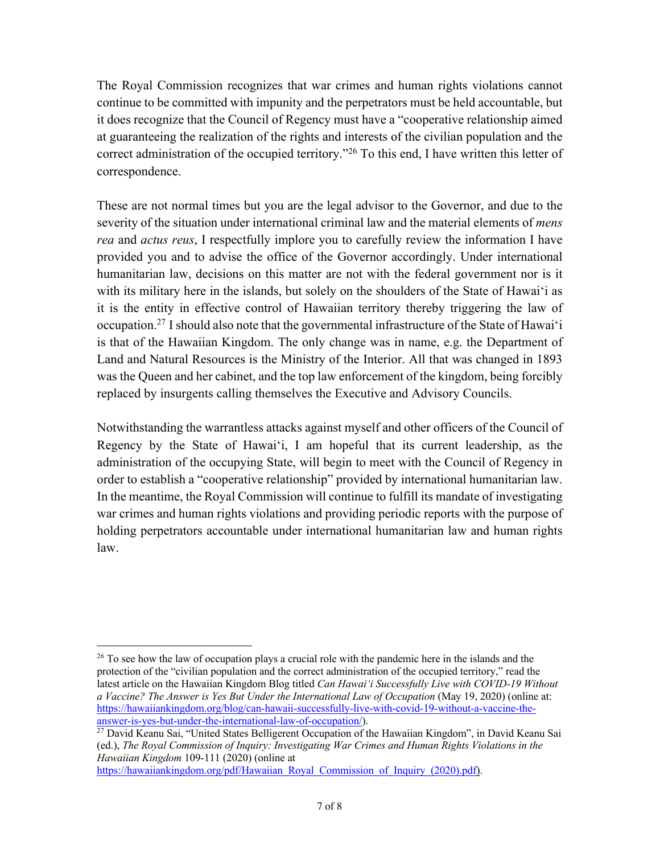The Royal Commission recognizes that war crimes and human rights violations cannot continue to be committed with impunity and the perpetrators must be held accountable, but it does recognize that the Council of Regency must have a "cooperative relationship aimed at guaranteeing the realization of the rights and interests of the civilian population and the correct administration of the occupied territory."<sup>26</sup> To this end, I have written this letter of correspondence.

These are not normal times but you are the legal advisor to the Governor, and due to the severity of the situation under international criminal law and the material elements of *mens rea* and *actus reus*, I respectfully implore you to carefully review the information I have provided you and to advise the office of the Governor accordingly. Under international humanitarian law, decisions on this matter are not with the federal government nor is it with its military here in the islands, but solely on the shoulders of the State of Hawai'i as it is the entity in effective control of Hawaiian territory thereby triggering the law of occupation.27 I should also note that the governmental infrastructure of the State of Hawai'i is that of the Hawaiian Kingdom. The only change was in name, e.g. the Department of Land and Natural Resources is the Ministry of the Interior. All that was changed in 1893 was the Queen and her cabinet, and the top law enforcement of the kingdom, being forcibly replaced by insurgents calling themselves the Executive and Advisory Councils.

Notwithstanding the warrantless attacks against myself and other officers of the Council of Regency by the State of Hawai'i, I am hopeful that its current leadership, as the administration of the occupying State, will begin to meet with the Council of Regency in order to establish a "cooperative relationship" provided by international humanitarian law. In the meantime, the Royal Commission will continue to fulfill its mandate of investigating war crimes and human rights violations and providing periodic reports with the purpose of holding perpetrators accountable under international humanitarian law and human rights law.

https://hawaiiankingdom.org/pdf/Hawaiian\_Royal\_Commission\_of\_Inquiry\_(2020).pdf).

<sup>&</sup>lt;sup>26</sup> To see how the law of occupation plays a crucial role with the pandemic here in the islands and the protection of the "civilian population and the correct administration of the occupied territory," read the latest article on the Hawaiian Kingdom Blog titled *Can Hawai'i Successfully Live with COVID-19 Without a Vaccine? The Answer is Yes But Under the International Law of Occupation* (May 19, 2020) (online at: https://hawaiiankingdom.org/blog/can-hawaii-successfully-live-with-covid-19-without-a-vaccine-theanswer-is-yes-but-under-the-international-law-of-occupation/).

<sup>&</sup>lt;sup>27</sup> David Keanu Sai, "United States Belligerent Occupation of the Hawaiian Kingdom", in David Keanu Sai (ed.), *The Royal Commission of Inquiry: Investigating War Crimes and Human Rights Violations in the Hawaiian Kingdom* 109-111 (2020) (online at